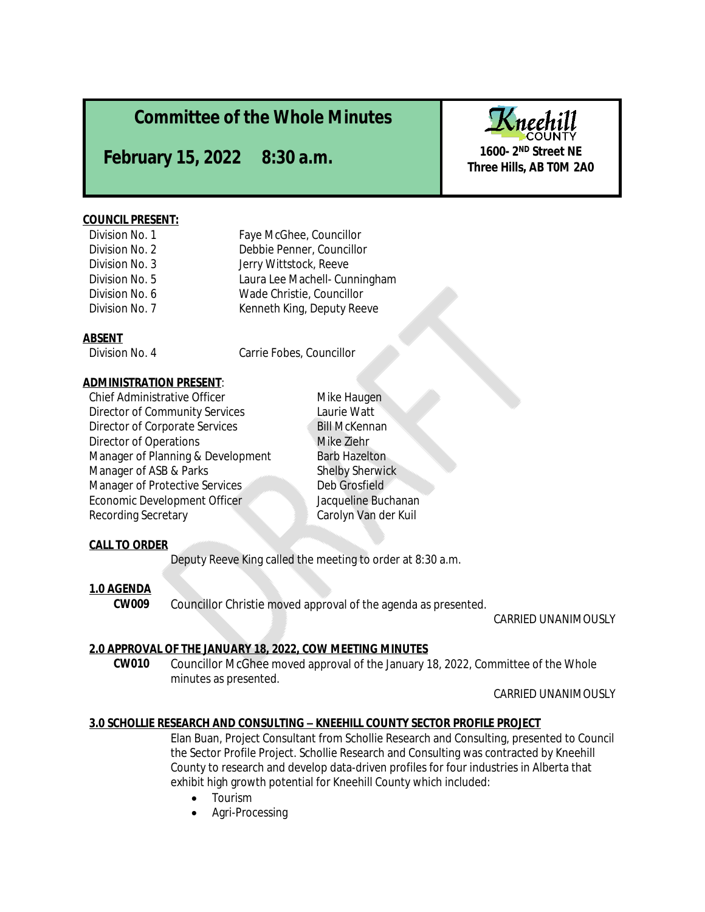# **Committee of the Whole Minutes**

**February 15, 2022 8:30 a.m.** Three Hills, AB TOM 2A0

### **COUNCIL PRESENT:**

| Division No. 1 | Faye McGhee, Councillor       |
|----------------|-------------------------------|
| Division No. 2 | Debbie Penner, Councillor     |
| Division No. 3 | Jerry Wittstock, Reeve        |
| Division No. 5 | Laura Lee Machell- Cunningham |
| Division No. 6 | Wade Christie, Councillor     |
| Division No. 7 | Kenneth King, Deputy Reeve    |
|                |                               |

## **ABSENT**

Division No. 4 Carrie Fobes, Councillor

## **ADMINISTRATION PRESENT**:

Chief Administrative Officer **Mike Haugen**<br>Director of Community Services **Mike Haugen** Director of Community Services Director of Corporate Services Bill McKennan Director of Operations **Mike Ziehr** Mike Ziehr Manager of Planning & Development Barb Hazelton Manager of ASB & Parks Shelby Sherwick Manager of Protective Services Deb Grosfield Economic Development Officer Jacqueline Buchanan Recording Secretary Carolyn Van der Kuil

# **CALL TO ORDER**

Deputy Reeve King called the meeting to order at 8:30 a.m.

# **1.0 AGENDA**

**CW009** Councillor Christie moved approval of the agenda as presented.

CARRIED UNANIMOUSLY

# **2.0 APPROVAL OF THE JANUARY 18, 2022, COW MEETING MINUTES**

**CW010** Councillor McGhee moved approval of the January 18, 2022, Committee of the Whole minutes as presented.

CARRIED UNANIMOUSLY

# **3.0 SCHOLLIE RESEARCH AND CONSULTING – KNEEHILL COUNTY SECTOR PROFILE PROJECT**

Elan Buan, Project Consultant from Schollie Research and Consulting, presented to Council the Sector Profile Project. Schollie Research and Consulting was contracted by Kneehill County to research and develop data-driven profiles for four industries in Alberta that exhibit high growth potential for Kneehill County which included:

- Tourism
- Agri-Processing



**1600- 2ND Street NE**